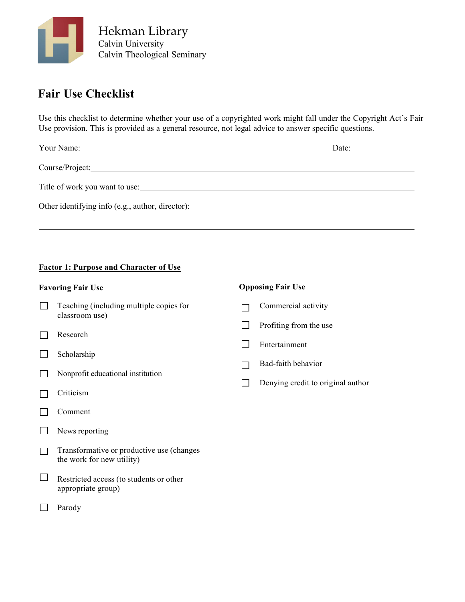

# **Fair Use Checklist**

Use this checklist to determine whether your use of a copyrighted work might fall under the Copyright Act's Fair Use provision. This is provided as a general resource, not legal advice to answer specific questions.

| Your Name: 1988                                  | Date: |
|--------------------------------------------------|-------|
|                                                  |       |
| Title of work you want to use:                   |       |
| Other identifying info (e.g., author, director): |       |
|                                                  |       |

#### **Factor 1: Purpose and Character of Use**

- Teaching (including multiple copies for  $\Box$ classroom use)
- Research  $\Box$
- $\Box$ Scholarship
- $\Box$ Nonprofit educational institution
- Criticism  $\Box$
- $\Box$ Comment
- $\Box$ News reporting
- Transformative or productive use (changes  $\Box$ the work for new utility)
- $\Box$ Restricted access (to students or other appropriate group)
- $\Box$ Parody

### **Favoring Fair Use Opposing Fair Use**

- Commercial activity  $\Box$
- $\Box$ Profiting from the use
- Entertainment
- Bad-faith behavior  $\Box$
- Denying credit to original author $\Box$